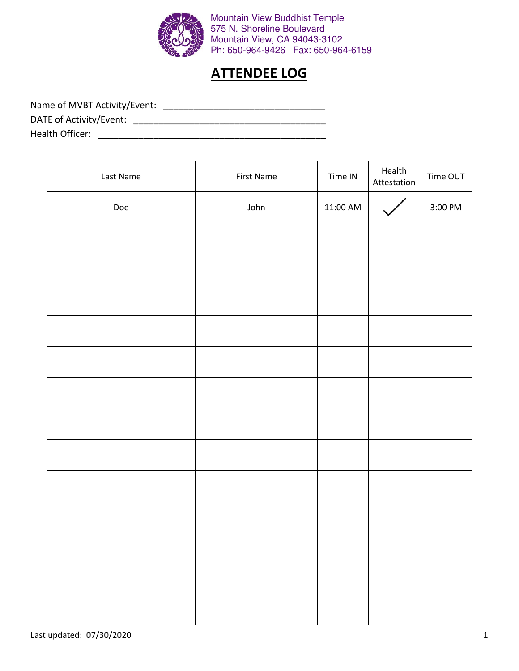

| Last Name | <b>First Name</b> | Time IN    | Health<br>Attestation | Time OUT            |
|-----------|-------------------|------------|-----------------------|---------------------|
| Doe       | John              | $11:00$ AM |                       | $3:00\ \mathrm{PM}$ |
|           |                   |            |                       |                     |
|           |                   |            |                       |                     |
|           |                   |            |                       |                     |
|           |                   |            |                       |                     |
|           |                   |            |                       |                     |
|           |                   |            |                       |                     |
|           |                   |            |                       |                     |
|           |                   |            |                       |                     |
|           |                   |            |                       |                     |
|           |                   |            |                       |                     |
|           |                   |            |                       |                     |
|           |                   |            |                       |                     |
|           |                   |            |                       |                     |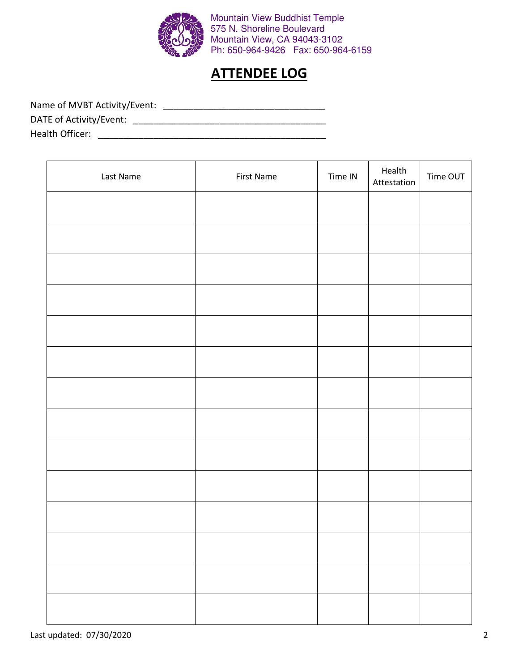

| Last Name | First Name | Time IN | Health<br>Attestation | Time OUT |
|-----------|------------|---------|-----------------------|----------|
|           |            |         |                       |          |
|           |            |         |                       |          |
|           |            |         |                       |          |
|           |            |         |                       |          |
|           |            |         |                       |          |
|           |            |         |                       |          |
|           |            |         |                       |          |
|           |            |         |                       |          |
|           |            |         |                       |          |
|           |            |         |                       |          |
|           |            |         |                       |          |
|           |            |         |                       |          |
|           |            |         |                       |          |
|           |            |         |                       |          |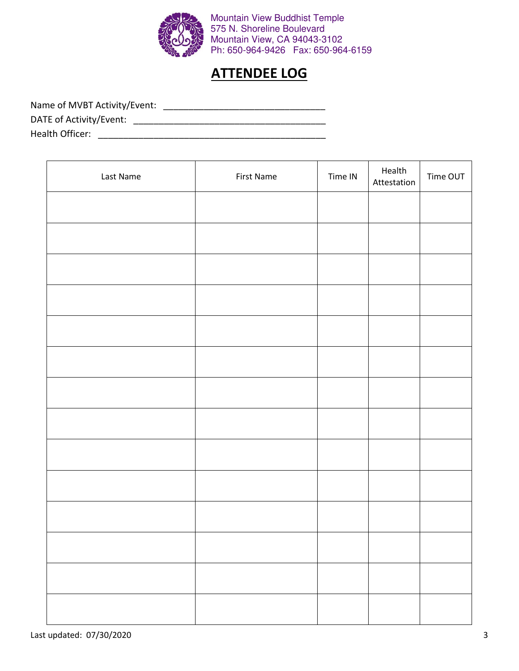

| Last Name | First Name | Time IN | Health<br>Attestation | Time OUT |
|-----------|------------|---------|-----------------------|----------|
|           |            |         |                       |          |
|           |            |         |                       |          |
|           |            |         |                       |          |
|           |            |         |                       |          |
|           |            |         |                       |          |
|           |            |         |                       |          |
|           |            |         |                       |          |
|           |            |         |                       |          |
|           |            |         |                       |          |
|           |            |         |                       |          |
|           |            |         |                       |          |
|           |            |         |                       |          |
|           |            |         |                       |          |
|           |            |         |                       |          |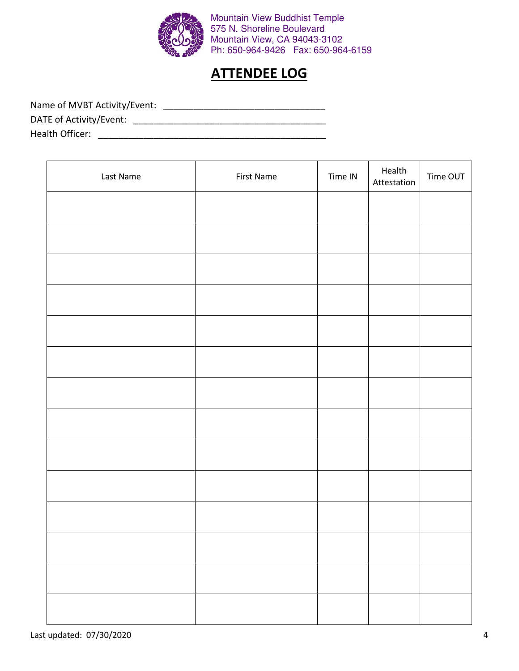

| Last Name | First Name | Time IN | Health<br>Attestation | Time OUT |
|-----------|------------|---------|-----------------------|----------|
|           |            |         |                       |          |
|           |            |         |                       |          |
|           |            |         |                       |          |
|           |            |         |                       |          |
|           |            |         |                       |          |
|           |            |         |                       |          |
|           |            |         |                       |          |
|           |            |         |                       |          |
|           |            |         |                       |          |
|           |            |         |                       |          |
|           |            |         |                       |          |
|           |            |         |                       |          |
|           |            |         |                       |          |
|           |            |         |                       |          |